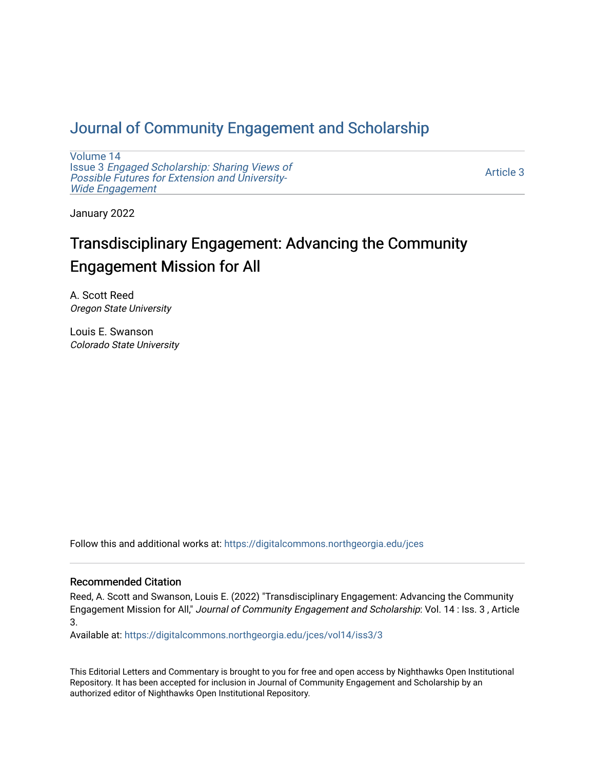# [Journal of Community Engagement and Scholarship](https://digitalcommons.northgeorgia.edu/jces)

[Volume 14](https://digitalcommons.northgeorgia.edu/jces/vol14) Issue 3 [Engaged Scholarship: Sharing Views of](https://digitalcommons.northgeorgia.edu/jces/vol14/iss3) [Possible Futures for Extension and University-](https://digitalcommons.northgeorgia.edu/jces/vol14/iss3)[Wide Engagement](https://digitalcommons.northgeorgia.edu/jces/vol14/iss3) 

[Article 3](https://digitalcommons.northgeorgia.edu/jces/vol14/iss3/3) 

January 2022

# Transdisciplinary Engagement: Advancing the Community Engagement Mission for All

A. Scott Reed Oregon State University

Louis E. Swanson Colorado State University

Follow this and additional works at: [https://digitalcommons.northgeorgia.edu/jces](https://digitalcommons.northgeorgia.edu/jces?utm_source=digitalcommons.northgeorgia.edu%2Fjces%2Fvol14%2Fiss3%2F3&utm_medium=PDF&utm_campaign=PDFCoverPages)

## Recommended Citation

Reed, A. Scott and Swanson, Louis E. (2022) "Transdisciplinary Engagement: Advancing the Community Engagement Mission for All," Journal of Community Engagement and Scholarship: Vol. 14 : Iss. 3 , Article 3.

Available at: [https://digitalcommons.northgeorgia.edu/jces/vol14/iss3/3](https://digitalcommons.northgeorgia.edu/jces/vol14/iss3/3?utm_source=digitalcommons.northgeorgia.edu%2Fjces%2Fvol14%2Fiss3%2F3&utm_medium=PDF&utm_campaign=PDFCoverPages) 

This Editorial Letters and Commentary is brought to you for free and open access by Nighthawks Open Institutional Repository. It has been accepted for inclusion in Journal of Community Engagement and Scholarship by an authorized editor of Nighthawks Open Institutional Repository.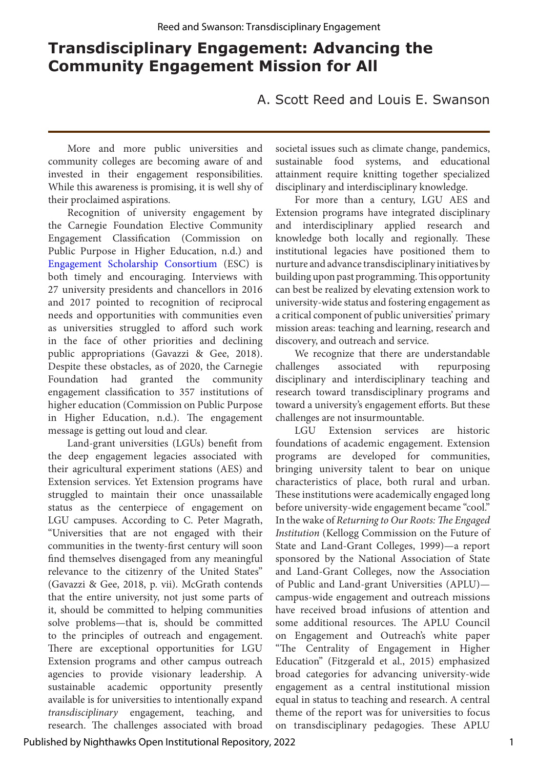# **Transdisciplinary Engagement: Advancing the Community Engagement Mission for All**

A. Scott Reed and Louis E. Swanson

More and more public universities and community colleges are becoming aware of and invested in their engagement responsibilities. While this awareness is promising, it is well shy of their proclaimed aspirations.

Recognition of university engagement by the Carnegie Foundation Elective Community Engagement Classification (Commission on Public Purpose in Higher Education, n.d.) and [Engagement Scholarship Consortium](http://engagementscholarship.org/) (ESC) is both timely and encouraging. Interviews with 27 university presidents and chancellors in 2016 and 2017 pointed to recognition of reciprocal needs and opportunities with communities even as universities struggled to afford such work in the face of other priorities and declining public appropriations (Gavazzi & Gee, 2018). Despite these obstacles, as of 2020, the Carnegie Foundation had granted the community engagement classification to 357 institutions of higher education (Commission on Public Purpose in Higher Education, n.d.). The engagement message is getting out loud and clear.

Land-grant universities (LGUs) benefit from the deep engagement legacies associated with their agricultural experiment stations (AES) and Extension services. Yet Extension programs have struggled to maintain their once unassailable status as the centerpiece of engagement on LGU campuses. According to C. Peter Magrath, "Universities that are not engaged with their communities in the twenty-first century will soon find themselves disengaged from any meaningful relevance to the citizenry of the United States" (Gavazzi & Gee, 2018, p. vii). McGrath contends that the entire university, not just some parts of it, should be committed to helping communities solve problems—that is, should be committed to the principles of outreach and engagement. There are exceptional opportunities for LGU Extension programs and other campus outreach agencies to provide visionary leadership. A sustainable academic opportunity presently available is for universities to intentionally expand *transdisciplinary* engagement, teaching, and research. The challenges associated with broad

societal issues such as climate change, pandemics, sustainable food systems, and educational attainment require knitting together specialized disciplinary and interdisciplinary knowledge.

For more than a century, LGU AES and Extension programs have integrated disciplinary and interdisciplinary applied research and knowledge both locally and regionally. These institutional legacies have positioned them to nurture and advance transdisciplinary initiatives by building upon past programming. This opportunity can best be realized by elevating extension work to university-wide status and fostering engagement as a critical component of public universities' primary mission areas: teaching and learning, research and discovery, and outreach and service.

We recognize that there are understandable challenges associated with repurposing disciplinary and interdisciplinary teaching and research toward transdisciplinary programs and toward a university's engagement efforts. But these challenges are not insurmountable.

LGU Extension services are historic foundations of academic engagement. Extension programs are developed for communities, bringing university talent to bear on unique characteristics of place, both rural and urban. These institutions were academically engaged long before university-wide engagement became "cool." In the wake of *Returning to Our Roots: The Engaged Institution* (Kellogg Commission on the Future of State and Land-Grant Colleges, 1999)—a report sponsored by the National Association of State and Land-Grant Colleges, now the Association of Public and Land-grant Universities (APLU) campus-wide engagement and outreach missions have received broad infusions of attention and some additional resources. The APLU Council on Engagement and Outreach's white paper "The Centrality of Engagement in Higher Education" (Fitzgerald et al., 2015) emphasized broad categories for advancing university-wide engagement as a central institutional mission equal in status to teaching and research. A central theme of the report was for universities to focus on transdisciplinary pedagogies. These APLU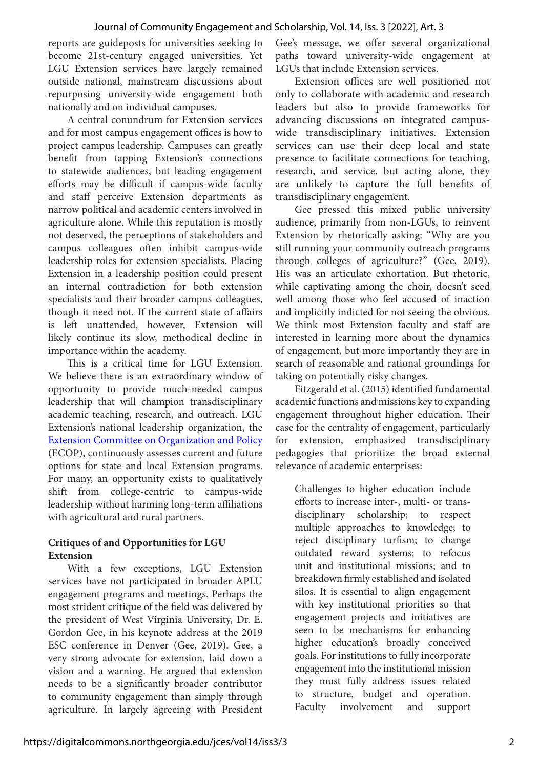reports are guideposts for universities seeking to become 21st-century engaged universities. Yet LGU Extension services have largely remained outside national, mainstream discussions about repurposing university-wide engagement both nationally and on individual campuses.

A central conundrum for Extension services and for most campus engagement offices is how to project campus leadership. Campuses can greatly benefit from tapping Extension's connections to statewide audiences, but leading engagement efforts may be difficult if campus-wide faculty and staff perceive Extension departments as narrow political and academic centers involved in agriculture alone. While this reputation is mostly not deserved, the perceptions of stakeholders and campus colleagues often inhibit campus-wide leadership roles for extension specialists. Placing Extension in a leadership position could present an internal contradiction for both extension specialists and their broader campus colleagues, though it need not. If the current state of affairs is left unattended, however, Extension will likely continue its slow, methodical decline in importance within the academy.

This is a critical time for LGU Extension. We believe there is an extraordinary window of opportunity to provide much-needed campus leadership that will champion transdisciplinary academic teaching, research, and outreach. LGU Extension's national leadership organization, the [Extension Committee on Organization and Policy](https://www.aplu.org/members/commissions/food-environment-and-renewable-resources/board-on-agriculture-assembly/cooperative-extension-section)  (ECOP), continuously assesses current and future options for state and local Extension programs. For many, an opportunity exists to qualitatively shift from college-centric to campus-wide leadership without harming long-term affiliations with agricultural and rural partners.

## **Critiques of and Opportunities for LGU Extension**

With a few exceptions, LGU Extension services have not participated in broader APLU engagement programs and meetings. Perhaps the most strident critique of the field was delivered by the president of West Virginia University, Dr. E. Gordon Gee, in his keynote address at the 2019 ESC conference in Denver (Gee, 2019). Gee, a very strong advocate for extension, laid down a vision and a warning. He argued that extension needs to be a significantly broader contributor to community engagement than simply through agriculture. In largely agreeing with President

Gee's message, we offer several organizational paths toward university-wide engagement at LGUs that include Extension services.

Extension offices are well positioned not only to collaborate with academic and research leaders but also to provide frameworks for advancing discussions on integrated campuswide transdisciplinary initiatives. Extension services can use their deep local and state presence to facilitate connections for teaching, research, and service, but acting alone, they are unlikely to capture the full benefits of transdisciplinary engagement.

Gee pressed this mixed public university audience, primarily from non-LGUs, to reinvent Extension by rhetorically asking: "Why are you still running your community outreach programs through colleges of agriculture?" (Gee, 2019). His was an articulate exhortation. But rhetoric, while captivating among the choir, doesn't seed well among those who feel accused of inaction and implicitly indicted for not seeing the obvious. We think most Extension faculty and staff are interested in learning more about the dynamics of engagement, but more importantly they are in search of reasonable and rational groundings for taking on potentially risky changes.

Fitzgerald et al. (2015) identified fundamental academic functions and missions key to expanding engagement throughout higher education. Their case for the centrality of engagement, particularly for extension, emphasized transdisciplinary pedagogies that prioritize the broad external relevance of academic enterprises:

Challenges to higher education include efforts to increase inter-, multi- or transdisciplinary scholarship; to respect multiple approaches to knowledge; to reject disciplinary turfism; to change outdated reward systems; to refocus unit and institutional missions; and to breakdown firmly established and isolated silos. It is essential to align engagement with key institutional priorities so that engagement projects and initiatives are seen to be mechanisms for enhancing higher education's broadly conceived goals. For institutions to fully incorporate engagement into the institutional mission they must fully address issues related to structure, budget and operation. Faculty involvement and support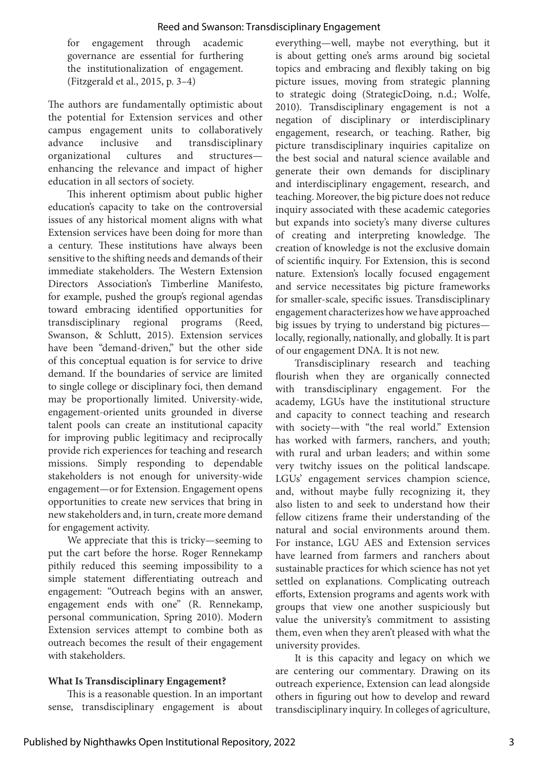for engagement through academic governance are essential for furthering the institutionalization of engagement. (Fitzgerald et al., 2015, p. 3–4)

The authors are fundamentally optimistic about the potential for Extension services and other campus engagement units to collaboratively advance inclusive and transdisciplinary organizational cultures and structures enhancing the relevance and impact of higher education in all sectors of society.

This inherent optimism about public higher education's capacity to take on the controversial issues of any historical moment aligns with what Extension services have been doing for more than a century. These institutions have always been sensitive to the shifting needs and demands of their immediate stakeholders. The Western Extension Directors Association's Timberline Manifesto, for example, pushed the group's regional agendas toward embracing identified opportunities for transdisciplinary regional programs (Reed, Swanson, & Schlutt, 2015). Extension services have been "demand-driven," but the other side of this conceptual equation is for service to drive demand. If the boundaries of service are limited to single college or disciplinary foci, then demand may be proportionally limited. University-wide, engagement-oriented units grounded in diverse talent pools can create an institutional capacity for improving public legitimacy and reciprocally provide rich experiences for teaching and research missions. Simply responding to dependable stakeholders is not enough for university-wide engagement—or for Extension. Engagement opens opportunities to create new services that bring in new stakeholders and, in turn, create more demand for engagement activity.

We appreciate that this is tricky—seeming to put the cart before the horse. Roger Rennekamp pithily reduced this seeming impossibility to a simple statement differentiating outreach and engagement: "Outreach begins with an answer, engagement ends with one" (R. Rennekamp, personal communication, Spring 2010). Modern Extension services attempt to combine both as outreach becomes the result of their engagement with stakeholders.

### **What Is Transdisciplinary Engagement?**

This is a reasonable question. In an important sense, transdisciplinary engagement is about everything—well, maybe not everything, but it is about getting one's arms around big societal topics and embracing and flexibly taking on big picture issues, moving from strategic planning to strategic doing (StrategicDoing, n.d.; Wolfe, 2010). Transdisciplinary engagement is not a negation of disciplinary or interdisciplinary engagement, research, or teaching. Rather, big picture transdisciplinary inquiries capitalize on the best social and natural science available and generate their own demands for disciplinary and interdisciplinary engagement, research, and teaching. Moreover, the big picture does not reduce inquiry associated with these academic categories but expands into society's many diverse cultures of creating and interpreting knowledge. The creation of knowledge is not the exclusive domain of scientific inquiry. For Extension, this is second nature. Extension's locally focused engagement and service necessitates big picture frameworks for smaller-scale, specific issues. Transdisciplinary engagement characterizes how we have approached big issues by trying to understand big pictures locally, regionally, nationally, and globally. It is part of our engagement DNA. It is not new.

Transdisciplinary research and teaching flourish when they are organically connected with transdisciplinary engagement. For the academy, LGUs have the institutional structure and capacity to connect teaching and research with society—with "the real world." Extension has worked with farmers, ranchers, and youth; with rural and urban leaders; and within some very twitchy issues on the political landscape. LGUs' engagement services champion science, and, without maybe fully recognizing it, they also listen to and seek to understand how their fellow citizens frame their understanding of the natural and social environments around them. For instance, LGU AES and Extension services have learned from farmers and ranchers about sustainable practices for which science has not yet settled on explanations. Complicating outreach efforts, Extension programs and agents work with groups that view one another suspiciously but value the university's commitment to assisting them, even when they aren't pleased with what the university provides.

It is this capacity and legacy on which we are centering our commentary. Drawing on its outreach experience, Extension can lead alongside others in figuring out how to develop and reward transdisciplinary inquiry. In colleges of agriculture,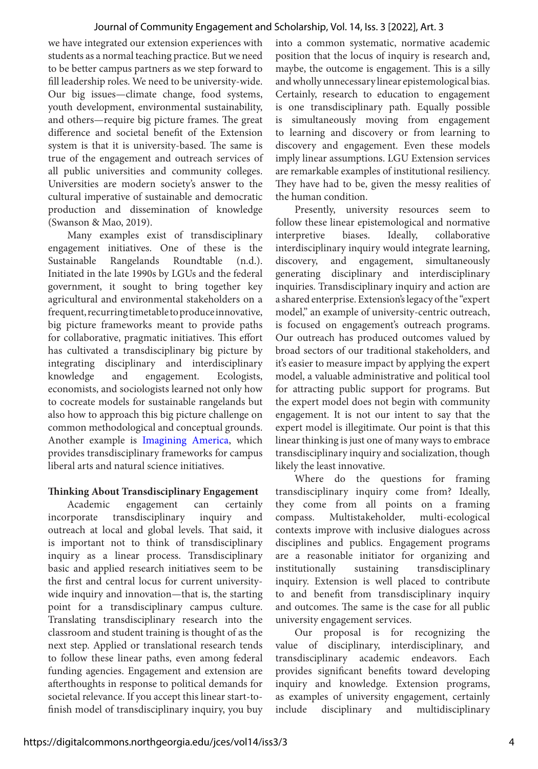#### Journal of Community Engagement and Scholarship, Vol. 14, Iss. 3 [2022], Art. 3

we have integrated our extension experiences with students as a normal teaching practice. But we need to be better campus partners as we step forward to fill leadership roles. We need to be university-wide. Our big issues—climate change, food systems, youth development, environmental sustainability, and others—require big picture frames. The great difference and societal benefit of the Extension system is that it is university-based. The same is true of the engagement and outreach services of all public universities and community colleges. Universities are modern society's answer to the cultural imperative of sustainable and democratic production and dissemination of knowledge (Swanson & Mao, 2019).

Many examples exist of transdisciplinary engagement initiatives. One of these is the Sustainable Rangelands Roundtable (n.d.). Initiated in the late 1990s by LGUs and the federal government, it sought to bring together key agricultural and environmental stakeholders on a frequent, recurring timetable to produce innovative, big picture frameworks meant to provide paths for collaborative, pragmatic initiatives. This effort has cultivated a transdisciplinary big picture by integrating disciplinary and interdisciplinary knowledge and engagement. Ecologists, economists, and sociologists learned not only how to cocreate models for sustainable rangelands but also how to approach this big picture challenge on common methodological and conceptual grounds. Another example is [Imagining America](https://imaginingamerica.org), which provides transdisciplinary frameworks for campus liberal arts and natural science initiatives.

#### **Thinking About Transdisciplinary Engagement**

Academic engagement can certainly incorporate transdisciplinary inquiry and outreach at local and global levels. That said, it is important not to think of transdisciplinary inquiry as a linear process. Transdisciplinary basic and applied research initiatives seem to be the first and central locus for current universitywide inquiry and innovation—that is, the starting point for a transdisciplinary campus culture. Translating transdisciplinary research into the classroom and student training is thought of as the next step. Applied or translational research tends to follow these linear paths, even among federal funding agencies. Engagement and extension are afterthoughts in response to political demands for societal relevance. If you accept this linear start-tofinish model of transdisciplinary inquiry, you buy into a common systematic, normative academic position that the locus of inquiry is research and, maybe, the outcome is engagement. This is a silly and wholly unnecessary linear epistemological bias. Certainly, research to education to engagement is one transdisciplinary path. Equally possible is simultaneously moving from engagement to learning and discovery or from learning to discovery and engagement. Even these models imply linear assumptions. LGU Extension services are remarkable examples of institutional resiliency. They have had to be, given the messy realities of the human condition.

Presently, university resources seem to follow these linear epistemological and normative interpretive biases. Ideally, collaborative interdisciplinary inquiry would integrate learning, discovery, and engagement, simultaneously generating disciplinary and interdisciplinary inquiries. Transdisciplinary inquiry and action are a shared enterprise. Extension's legacy of the "expert model," an example of university-centric outreach, is focused on engagement's outreach programs. Our outreach has produced outcomes valued by broad sectors of our traditional stakeholders, and it's easier to measure impact by applying the expert model, a valuable administrative and political tool for attracting public support for programs. But the expert model does not begin with community engagement. It is not our intent to say that the expert model is illegitimate. Our point is that this linear thinking is just one of many ways to embrace transdisciplinary inquiry and socialization, though likely the least innovative.

Where do the questions for framing transdisciplinary inquiry come from? Ideally, they come from all points on a framing compass. Multistakeholder, multi-ecological contexts improve with inclusive dialogues across disciplines and publics. Engagement programs are a reasonable initiator for organizing and institutionally sustaining transdisciplinary inquiry. Extension is well placed to contribute to and benefit from transdisciplinary inquiry and outcomes. The same is the case for all public university engagement services.

Our proposal is for recognizing the value of disciplinary, interdisciplinary, and transdisciplinary academic endeavors. Each provides significant benefits toward developing inquiry and knowledge. Extension programs, as examples of university engagement, certainly include disciplinary and multidisciplinary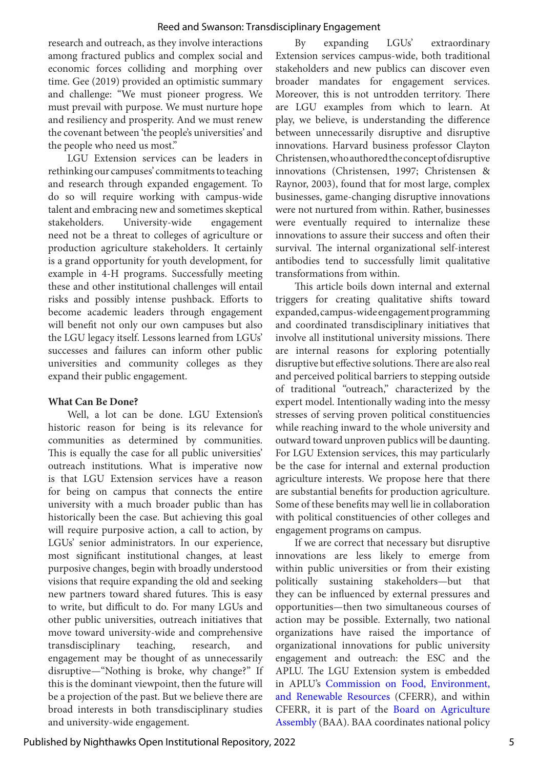#### Reed and Swanson: Transdisciplinary Engagement

research and outreach, as they involve interactions among fractured publics and complex social and economic forces colliding and morphing over time. Gee (2019) provided an optimistic summary and challenge: "We must pioneer progress. We must prevail with purpose. We must nurture hope and resiliency and prosperity. And we must renew the covenant between 'the people's universities' and the people who need us most."

LGU Extension services can be leaders in rethinking our campuses' commitments to teaching and research through expanded engagement. To do so will require working with campus-wide talent and embracing new and sometimes skeptical stakeholders. University-wide engagement need not be a threat to colleges of agriculture or production agriculture stakeholders. It certainly is a grand opportunity for youth development, for example in 4-H programs. Successfully meeting these and other institutional challenges will entail risks and possibly intense pushback. Efforts to become academic leaders through engagement will benefit not only our own campuses but also the LGU legacy itself. Lessons learned from LGUs' successes and failures can inform other public universities and community colleges as they expand their public engagement.

#### **What Can Be Done?**

Well, a lot can be done. LGU Extension's historic reason for being is its relevance for communities as determined by communities. This is equally the case for all public universities' outreach institutions. What is imperative now is that LGU Extension services have a reason for being on campus that connects the entire university with a much broader public than has historically been the case. But achieving this goal will require purposive action, a call to action, by LGUs' senior administrators. In our experience, most significant institutional changes, at least purposive changes, begin with broadly understood visions that require expanding the old and seeking new partners toward shared futures. This is easy to write, but difficult to do. For many LGUs and other public universities, outreach initiatives that move toward university-wide and comprehensive transdisciplinary teaching, research, and engagement may be thought of as unnecessarily disruptive—"Nothing is broke, why change?" If this is the dominant viewpoint, then the future will be a projection of the past. But we believe there are broad interests in both transdisciplinary studies and university-wide engagement.

By expanding LGUs' extraordinary Extension services campus-wide, both traditional stakeholders and new publics can discover even broader mandates for engagement services. Moreover, this is not untrodden territory. There are LGU examples from which to learn. At play, we believe, is understanding the difference between unnecessarily disruptive and disruptive innovations. Harvard business professor Clayton Christensen, who authored the concept of disruptive innovations (Christensen, 1997; Christensen & Raynor, 2003), found that for most large, complex businesses, game-changing disruptive innovations were not nurtured from within. Rather, businesses were eventually required to internalize these innovations to assure their success and often their survival. The internal organizational self-interest antibodies tend to successfully limit qualitative transformations from within.

This article boils down internal and external triggers for creating qualitative shifts toward expanded, campus-wide engagement programming and coordinated transdisciplinary initiatives that involve all institutional university missions. There are internal reasons for exploring potentially disruptive but effective solutions. There are also real and perceived political barriers to stepping outside of traditional "outreach," characterized by the expert model. Intentionally wading into the messy stresses of serving proven political constituencies while reaching inward to the whole university and outward toward unproven publics will be daunting. For LGU Extension services, this may particularly be the case for internal and external production agriculture interests. We propose here that there are substantial benefits for production agriculture. Some of these benefits may well lie in collaboration with political constituencies of other colleges and engagement programs on campus.

If we are correct that necessary but disruptive innovations are less likely to emerge from within public universities or from their existing politically sustaining stakeholders—but that they can be influenced by external pressures and opportunities—then two simultaneous courses of action may be possible. Externally, two national organizations have raised the importance of organizational innovations for public university engagement and outreach: the ESC and the APLU. The LGU Extension system is embedded in APLU's [Commission on Food, Environment,](https://www.aplu.org/members/commissions/food-environment-and-renewable-resources) [and Renewable Resources \(](https://www.aplu.org/members/commissions/food-environment-and-renewable-resources)CFERR), and within CFERR, it is part of the [Board on Agriculture](https://www.aplu.org/members/commissions/food-environment-and-renewable-resources/board-on-agriculture-assembly)  [Assembly](https://www.aplu.org/members/commissions/food-environment-and-renewable-resources/board-on-agriculture-assembly) (BAA). BAA coordinates national policy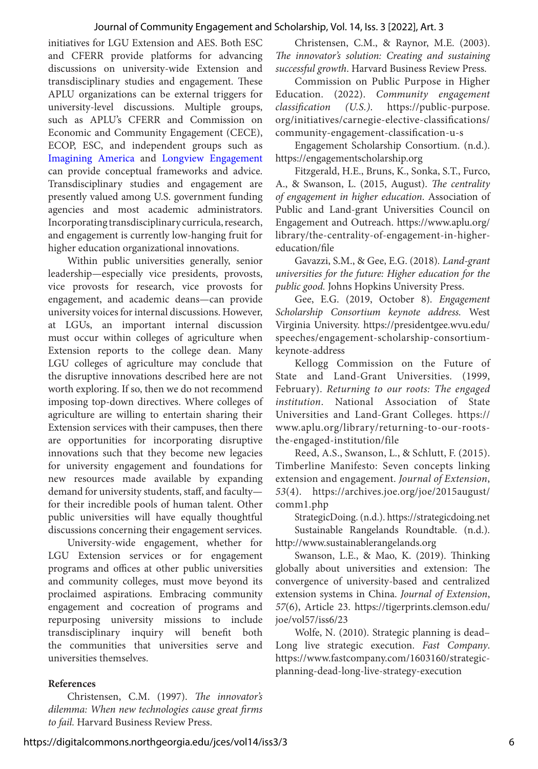#### Journal of Community Engagement and Scholarship, Vol. 14, Iss. 3 [2022], Art. 3

initiatives for LGU Extension and AES. Both ESC and CFERR provide platforms for advancing discussions on university-wide Extension and transdisciplinary studies and engagement. These APLU organizations can be external triggers for university-level discussions. Multiple groups, such as APLU's CFERR and Commission on Economic and Community Engagement (CECE), ECOP, ESC, and independent groups such as [Imagining America](https://imaginingamerica.org) and [Longview Engagement](https://longviewengagement.com)  can provide conceptual frameworks and advice. Transdisciplinary studies and engagement are presently valued among U.S. government funding agencies and most academic administrators. Incorporating transdisciplinary curricula, research, and engagement is currently low-hanging fruit for higher education organizational innovations.

Within public universities generally, senior leadership—especially vice presidents, provosts, vice provosts for research, vice provosts for engagement, and academic deans—can provide university voices for internal discussions. However, at LGUs, an important internal discussion must occur within colleges of agriculture when Extension reports to the college dean. Many LGU colleges of agriculture may conclude that the disruptive innovations described here are not worth exploring. If so, then we do not recommend imposing top-down directives. Where colleges of agriculture are willing to entertain sharing their Extension services with their campuses, then there are opportunities for incorporating disruptive innovations such that they become new legacies for university engagement and foundations for new resources made available by expanding demand for university students, staff, and faculty for their incredible pools of human talent. Other public universities will have equally thoughtful discussions concerning their engagement services.

University-wide engagement, whether for LGU Extension services or for engagement programs and offices at other public universities and community colleges, must move beyond its proclaimed aspirations. Embracing community engagement and cocreation of programs and repurposing university missions to include transdisciplinary inquiry will benefit both the communities that universities serve and universities themselves.

#### **References**

Christensen, C.M. (1997). *The innovator's dilemma: When new technologies cause great firms to fail.* Harvard Business Review Press.

Christensen, C.M., & Raynor, M.E. (2003). *The innovator's solution: Creating and sustaining successful growth*. Harvard Business Review Press.

Commission on Public Purpose in Higher Education. (2022). *Community engagement classification (U.S.)*. https://public-purpose. org/initiatives/carnegie-elective-classifications/ community-engagement-classification-u-s

Engagement Scholarship Consortium. (n.d.). https://engagementscholarship.org

Fitzgerald, H.E., Bruns, K., Sonka, S.T., Furco, A., & Swanson, L. (2015, August). *The centrality of engagement in higher education*. Association of Public and Land-grant Universities Council on Engagement and Outreach. https://www.aplu.org/ library/the-centrality-of-engagement-in-highereducation/file

Gavazzi, S.M., & Gee, E.G. (2018)*. Land-grant universities for the future: Higher education for the public good.* Johns Hopkins University Press.

Gee, E.G. (2019, October 8). *Engagement Scholarship Consortium keynote address.* West Virginia University. https://presidentgee.wvu.edu/ speeches/engagement-scholarship-consortiumkeynote-address

Kellogg Commission on the Future of State and Land-Grant Universities. (1999, February). *Returning to our roots: The engaged institution*. National Association of State Universities and Land-Grant Colleges. https:// www.aplu.org/library/returning-to-our-rootsthe-engaged-institution/file

Reed, A.S., Swanson, L., & Schlutt, F. (2015). Timberline Manifesto: Seven concepts linking extension and engagement. *Journal of Extension*, *53*(4). https://archives.joe.org/joe/2015august/ comm1.php

StrategicDoing. (n.d.). https://strategicdoing.net Sustainable Rangelands Roundtable. (n.d.). http://www.sustainablerangelands.org

Swanson, L.E., & Mao, K. (2019). Thinking globally about universities and extension: The convergence of university-based and centralized extension systems in China. *Journal of Extension*, *57*(6), Article 23. https://tigerprints.clemson.edu/ joe/vol57/iss6/23

Wolfe, N. (2010). Strategic planning is dead– Long live strategic execution. *Fast Company*. https://www.fastcompany.com/1603160/strategicplanning-dead-long-live-strategy-execution